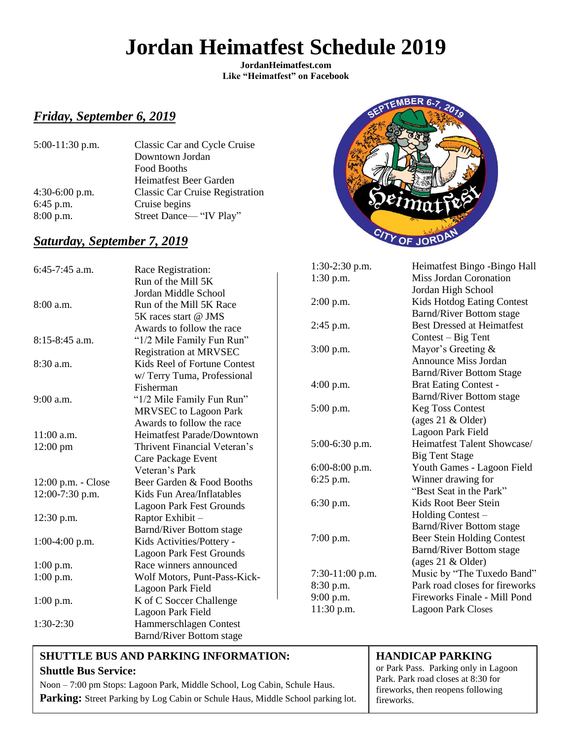# **Jordan Heimatfest Schedule 2019**

**JordanHeimatfest.com Like "Heimatfest" on Facebook**

### *Friday, September 6, 2019*

| $5:00-11:30$ p.m. | Classic Car and Cycle Cruise           |  |
|-------------------|----------------------------------------|--|
|                   | Downtown Jordan                        |  |
|                   | Food Booths                            |  |
|                   | Heimatfest Beer Garden                 |  |
| 4:30-6:00 p.m.    | <b>Classic Car Cruise Registration</b> |  |
| 6:45 p.m.         | Cruise begins                          |  |
| $8:00$ p.m.       | Street Dance—"IV Play"                 |  |
|                   |                                        |  |

## *Saturday, September 7, 2019*



| $6:45-7:45$ a.m.   | Race Registration:              | $1:30-2:30$ p.m. | Heimatfest Bingo -Bingo Hall      |
|--------------------|---------------------------------|------------------|-----------------------------------|
|                    | Run of the Mill 5K              | $1:30$ p.m.      | Miss Jordan Coronation            |
|                    | Jordan Middle School            |                  | Jordan High School                |
| 8:00 a.m.          | Run of the Mill 5K Race         | 2:00 p.m.        | Kids Hotdog Eating Contest        |
|                    | 5K races start @ JMS            |                  | Barnd/River Bottom stage          |
|                    | Awards to follow the race       | $2:45$ p.m.      | <b>Best Dressed at Heimatfest</b> |
| 8:15-8:45 a.m.     | "1/2 Mile Family Fun Run"       |                  | $Context - Big Tent$              |
|                    | <b>Registration at MRVSEC</b>   | $3:00$ p.m.      | Mayor's Greeting $&$              |
| 8:30 a.m.          | Kids Reel of Fortune Contest    |                  | <b>Announce Miss Jordan</b>       |
|                    | w/Terry Tuma, Professional      |                  | <b>Barnd/River Bottom Stage</b>   |
|                    | Fisherman                       | $4:00$ p.m.      | <b>Brat Eating Contest -</b>      |
| 9:00 a.m.          | "1/2 Mile Family Fun Run"       |                  | Barnd/River Bottom stage          |
|                    | <b>MRVSEC</b> to Lagoon Park    | $5:00$ p.m.      | <b>Keg Toss Contest</b>           |
|                    | Awards to follow the race       |                  | (ages 21 & Older)                 |
| $11:00$ a.m.       | Heimatfest Parade/Downtown      |                  | Lagoon Park Field                 |
| $12:00$ pm         | Thrivent Financial Veteran's    | 5:00-6:30 p.m.   | Heimatfest Talent Showcase/       |
|                    | Care Package Event              |                  | <b>Big Tent Stage</b>             |
|                    | Veteran's Park                  | $6:00-8:00$ p.m. | Youth Games - Lagoon Field        |
| 12:00 p.m. - Close | Beer Garden & Food Booths       | $6:25$ p.m.      | Winner drawing for                |
| $12:00-7:30$ p.m.  | Kids Fun Area/Inflatables       |                  | "Best Seat in the Park"           |
|                    | <b>Lagoon Park Fest Grounds</b> | 6:30 p.m.        | Kids Root Beer Stein              |
| 12:30 p.m.         | Raptor Exhibit -                |                  | Holding Contest -                 |
|                    | Barnd/River Bottom stage        |                  | Barnd/River Bottom stage          |
| $1:00-4:00$ p.m.   | Kids Activities/Pottery -       | $7:00$ p.m.      | Beer Stein Holding Contest        |
|                    | <b>Lagoon Park Fest Grounds</b> |                  | Barnd/River Bottom stage          |
| $1:00$ p.m.        | Race winners announced          |                  | (ages 21 & Older)                 |
| $1:00$ p.m.        | Wolf Motors, Punt-Pass-Kick-    | 7:30-11:00 p.m.  | Music by "The Tuxedo Band"        |
|                    | Lagoon Park Field               | $8:30$ p.m.      | Park road closes for fireworks    |
| $1:00$ p.m.        | K of C Soccer Challenge         | 9:00 p.m.        | Fireworks Finale - Mill Pond      |
|                    | Lagoon Park Field               | 11:30 p.m.       | <b>Lagoon Park Closes</b>         |
| 1:30-2:30          | Hammerschlagen Contest          |                  |                                   |
|                    | <b>Barnd/River Bottom stage</b> |                  |                                   |

### **SHUTTLE BUS AND PARKING INFORMATION: Shuttle Bus Service:**

Noon – 7:00 pm Stops: Lagoon Park, Middle School, Log Cabin, Schule Haus. Parking: Street Parking by Log Cabin or Schule Haus, Middle School parking lot.

### **HANDICAP PARKING**

or Park Pass. Parking only in Lagoon Park. Park road closes at 8:30 for fireworks, then reopens following fireworks.